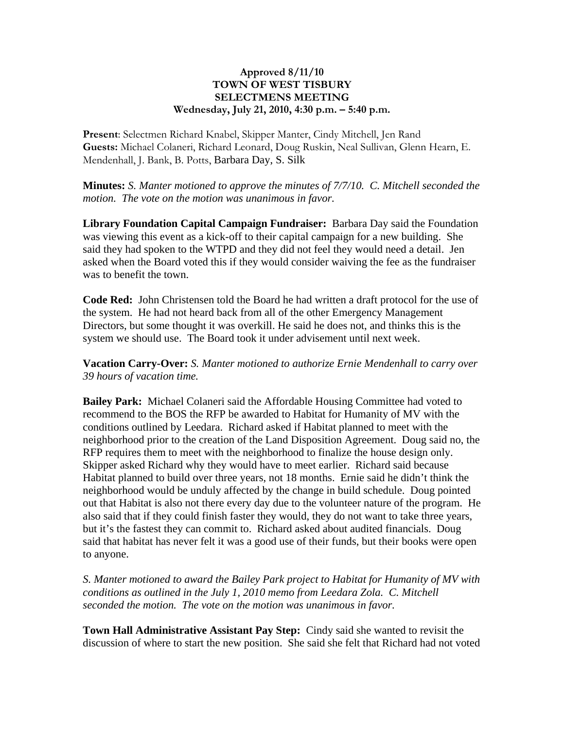## **Approved 8/11/10 TOWN OF WEST TISBURY SELECTMENS MEETING Wednesday, July 21, 2010, 4:30 p.m. – 5:40 p.m.**

**Present**: Selectmen Richard Knabel, Skipper Manter, Cindy Mitchell, Jen Rand **Guests:** Michael Colaneri, Richard Leonard, Doug Ruskin, Neal Sullivan, Glenn Hearn, E. Mendenhall, J. Bank, B. Potts, Barbara Day, S. Silk

**Minutes:** *S. Manter motioned to approve the minutes of 7/7/10. C. Mitchell seconded the motion. The vote on the motion was unanimous in favor.*

**Library Foundation Capital Campaign Fundraiser:** Barbara Day said the Foundation was viewing this event as a kick-off to their capital campaign for a new building. She said they had spoken to the WTPD and they did not feel they would need a detail. Jen asked when the Board voted this if they would consider waiving the fee as the fundraiser was to benefit the town.

**Code Red:** John Christensen told the Board he had written a draft protocol for the use of the system. He had not heard back from all of the other Emergency Management Directors, but some thought it was overkill. He said he does not, and thinks this is the system we should use. The Board took it under advisement until next week.

**Vacation Carry-Over:** *S. Manter motioned to authorize Ernie Mendenhall to carry over 39 hours of vacation time.* 

**Bailey Park:** Michael Colaneri said the Affordable Housing Committee had voted to recommend to the BOS the RFP be awarded to Habitat for Humanity of MV with the conditions outlined by Leedara. Richard asked if Habitat planned to meet with the neighborhood prior to the creation of the Land Disposition Agreement. Doug said no, the RFP requires them to meet with the neighborhood to finalize the house design only. Skipper asked Richard why they would have to meet earlier. Richard said because Habitat planned to build over three years, not 18 months. Ernie said he didn't think the neighborhood would be unduly affected by the change in build schedule. Doug pointed out that Habitat is also not there every day due to the volunteer nature of the program. He also said that if they could finish faster they would, they do not want to take three years, but it's the fastest they can commit to. Richard asked about audited financials. Doug said that habitat has never felt it was a good use of their funds, but their books were open to anyone.

*S. Manter motioned to award the Bailey Park project to Habitat for Humanity of MV with conditions as outlined in the July 1, 2010 memo from Leedara Zola. C. Mitchell seconded the motion. The vote on the motion was unanimous in favor.*

**Town Hall Administrative Assistant Pay Step:** Cindy said she wanted to revisit the discussion of where to start the new position. She said she felt that Richard had not voted